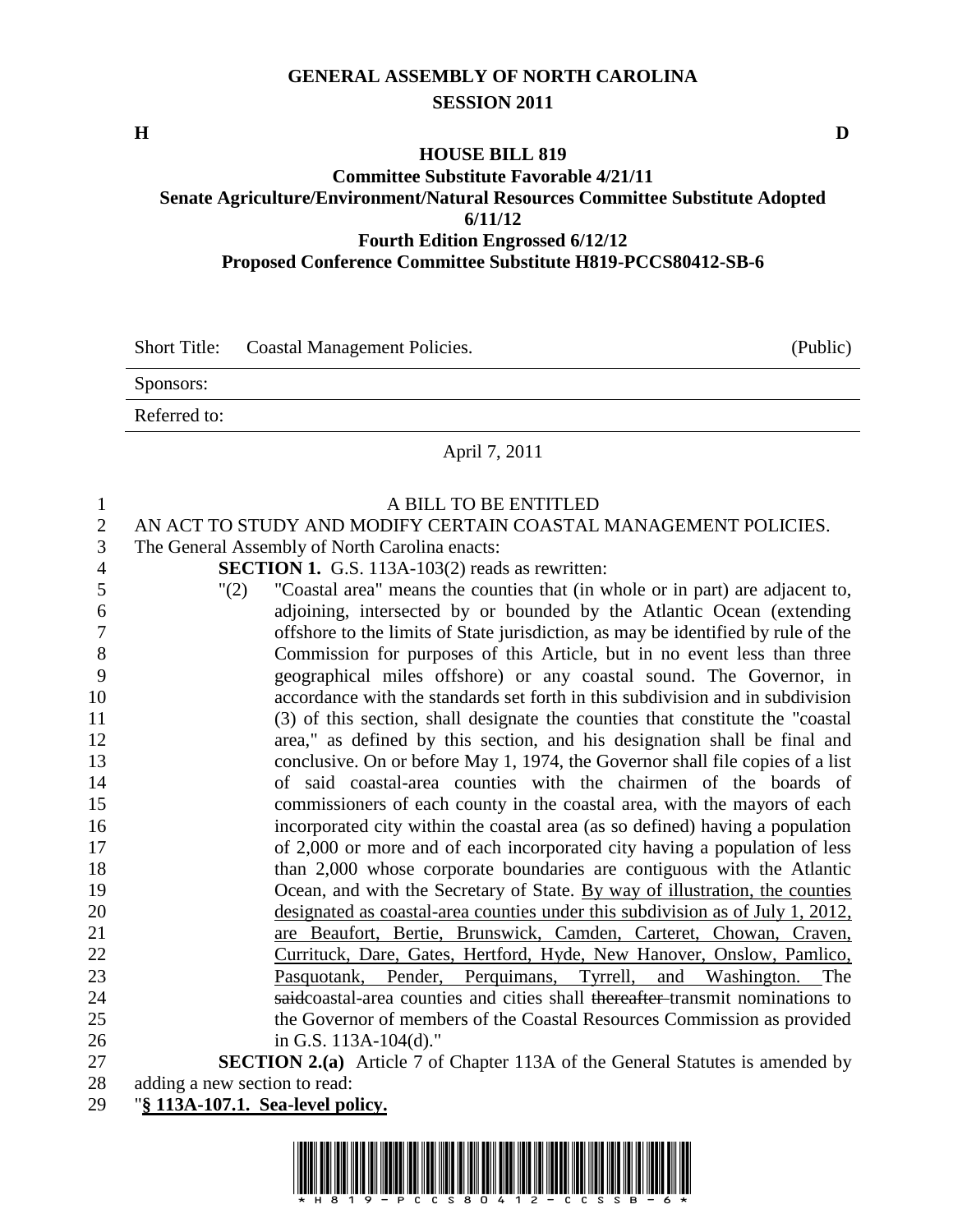## **GENERAL ASSEMBLY OF NORTH CAROLINA SESSION 2011**

**H D**

## **HOUSE BILL 819 Committee Substitute Favorable 4/21/11 Senate Agriculture/Environment/Natural Resources Committee Substitute Adopted 6/11/12 Fourth Edition Engrossed 6/12/12 Proposed Conference Committee Substitute H819-PCCS80412-SB-6**

|              | Short Title: Coastal Management Policies. | (Public) |
|--------------|-------------------------------------------|----------|
| Sponsors:    |                                           |          |
| Referred to: |                                           |          |
|              |                                           |          |

## April 7, 2011

| 1              | A BILL TO BE ENTITLED                                                                 |
|----------------|---------------------------------------------------------------------------------------|
| $\overline{2}$ | AN ACT TO STUDY AND MODIFY CERTAIN COASTAL MANAGEMENT POLICIES.                       |
| 3              | The General Assembly of North Carolina enacts:                                        |
| $\overline{4}$ | <b>SECTION 1.</b> G.S. 113A-103(2) reads as rewritten:                                |
| 5              | "Coastal area" means the counties that (in whole or in part) are adjacent to,<br>"(2) |
| 6              | adjoining, intersected by or bounded by the Atlantic Ocean (extending                 |
| 7              | offshore to the limits of State jurisdiction, as may be identified by rule of the     |
| 8              | Commission for purposes of this Article, but in no event less than three              |
| 9              | geographical miles offshore) or any coastal sound. The Governor, in                   |
| 10             | accordance with the standards set forth in this subdivision and in subdivision        |
| 11             | (3) of this section, shall designate the counties that constitute the "coastal        |
| 12             | area," as defined by this section, and his designation shall be final and             |
| 13             | conclusive. On or before May 1, 1974, the Governor shall file copies of a list        |
| 14             | of said coastal-area counties with the chairmen of the boards of                      |
| 15             | commissioners of each county in the coastal area, with the mayors of each             |
| 16             | incorporated city within the coastal area (as so defined) having a population         |
| 17             | of 2,000 or more and of each incorporated city having a population of less            |
| 18             | than 2,000 whose corporate boundaries are contiguous with the Atlantic                |
| 19             | Ocean, and with the Secretary of State. By way of illustration, the counties          |
| 20             | designated as coastal-area counties under this subdivision as of July 1, 2012,        |
| 21             | are Beaufort, Bertie, Brunswick, Camden, Carteret, Chowan, Craven,                    |
| 22             | Currituck, Dare, Gates, Hertford, Hyde, New Hanover, Onslow, Pamlico,                 |
| 23             | Pasquotank, Pender, Perquimans, Tyrrell, and Washington.<br>The                       |
| 24             | saidcoastal-area counties and cities shall thereafter transmit nominations to         |
| 25             | the Governor of members of the Coastal Resources Commission as provided               |
| 26             | in G.S. 113A-104(d)."                                                                 |
| 27             | <b>SECTION 2.(a)</b> Article 7 of Chapter 113A of the General Statutes is amended by  |
| 28             | adding a new section to read:                                                         |

"**§ 113A-107.1. Sea-level policy.**

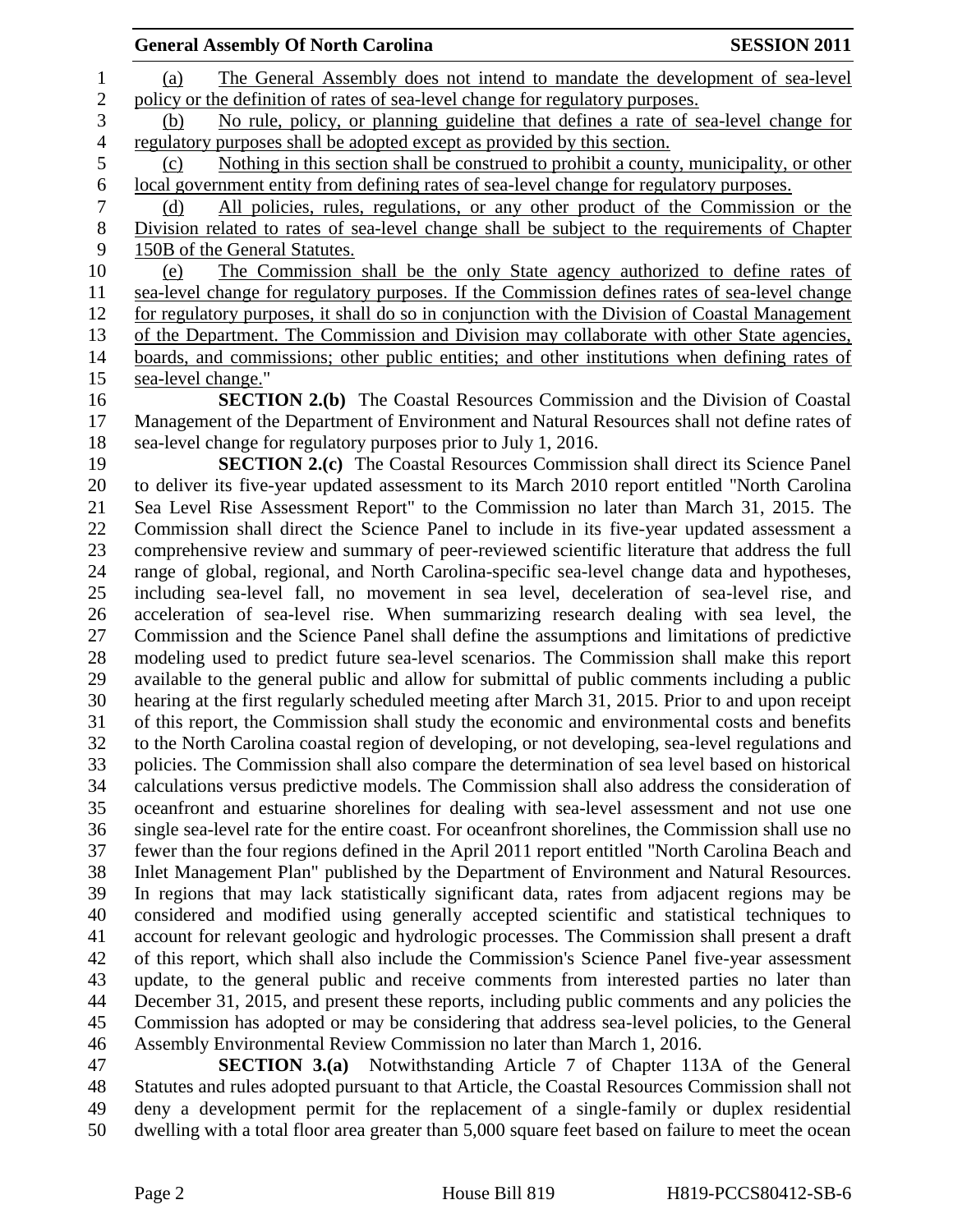| <b>SESSION 2011</b><br><b>General Assembly Of North Carolina</b>                                   |
|----------------------------------------------------------------------------------------------------|
| The General Assembly does not intend to mandate the development of sea-level<br>(a)                |
| policy or the definition of rates of sea-level change for regulatory purposes.                     |
| No rule, policy, or planning guideline that defines a rate of sea-level change for<br>(b)          |
| regulatory purposes shall be adopted except as provided by this section.                           |
| Nothing in this section shall be construed to prohibit a county, municipality, or other<br>(c)     |
| local government entity from defining rates of sea-level change for regulatory purposes.           |
| All policies, rules, regulations, or any other product of the Commission or the<br>(d)             |
| Division related to rates of sea-level change shall be subject to the requirements of Chapter      |
| 150B of the General Statutes.                                                                      |
| The Commission shall be the only State agency authorized to define rates of<br>(e)                 |
|                                                                                                    |
| sea-level change for regulatory purposes. If the Commission defines rates of sea-level change      |
| for regulatory purposes, it shall do so in conjunction with the Division of Coastal Management     |
| of the Department. The Commission and Division may collaborate with other State agencies,          |
| boards, and commissions; other public entities; and other institutions when defining rates of      |
| sea-level change."                                                                                 |
| <b>SECTION 2.(b)</b> The Coastal Resources Commission and the Division of Coastal                  |
| Management of the Department of Environment and Natural Resources shall not define rates of        |
| sea-level change for regulatory purposes prior to July 1, 2016.                                    |
| <b>SECTION 2.(c)</b> The Coastal Resources Commission shall direct its Science Panel               |
| to deliver its five-year updated assessment to its March 2010 report entitled "North Carolina      |
| Sea Level Rise Assessment Report" to the Commission no later than March 31, 2015. The              |
| Commission shall direct the Science Panel to include in its five-year updated assessment a         |
| comprehensive review and summary of peer-reviewed scientific literature that address the full      |
| range of global, regional, and North Carolina-specific sea-level change data and hypotheses,       |
| including sea-level fall, no movement in sea level, deceleration of sea-level rise, and            |
| acceleration of sea-level rise. When summarizing research dealing with sea level, the              |
| Commission and the Science Panel shall define the assumptions and limitations of predictive        |
| modeling used to predict future sea-level scenarios. The Commission shall make this report         |
| available to the general public and allow for submittal of public comments including a public      |
| hearing at the first regularly scheduled meeting after March 31, 2015. Prior to and upon receipt   |
| of this report, the Commission shall study the economic and environmental costs and benefits       |
| to the North Carolina coastal region of developing, or not developing, sea-level regulations and   |
| policies. The Commission shall also compare the determination of sea level based on historical     |
| calculations versus predictive models. The Commission shall also address the consideration of      |
| oceanfront and estuarine shorelines for dealing with sea-level assessment and not use one          |
| single sea-level rate for the entire coast. For oceanfront shorelines, the Commission shall use no |
| fewer than the four regions defined in the April 2011 report entitled "North Carolina Beach and    |
| Inlet Management Plan" published by the Department of Environment and Natural Resources.           |
| In regions that may lack statistically significant data, rates from adjacent regions may be        |
| considered and modified using generally accepted scientific and statistical techniques to          |
| account for relevant geologic and hydrologic processes. The Commission shall present a draft       |
| of this report, which shall also include the Commission's Science Panel five-year assessment       |
| update, to the general public and receive comments from interested parties no later than           |
| December 31, 2015, and present these reports, including public comments and any policies the       |
| Commission has adopted or may be considering that address sea-level policies, to the General       |
| Assembly Environmental Review Commission no later than March 1, 2016.                              |
| <b>SECTION 3.(a)</b> Notwithstanding Article 7 of Chapter 113A of the General                      |
| Statutes and wilso adapted guignant to that Antigle the Coastel Decenness Commission shall not     |

48 Statutes and rules adopted pursuant to that Article, the Coastal Resources Commission shall not<br>49 deny a development permit for the replacement of a single-family or duplex residential deny a development permit for the replacement of a single-family or duplex residential dwelling with a total floor area greater than 5,000 square feet based on failure to meet the ocean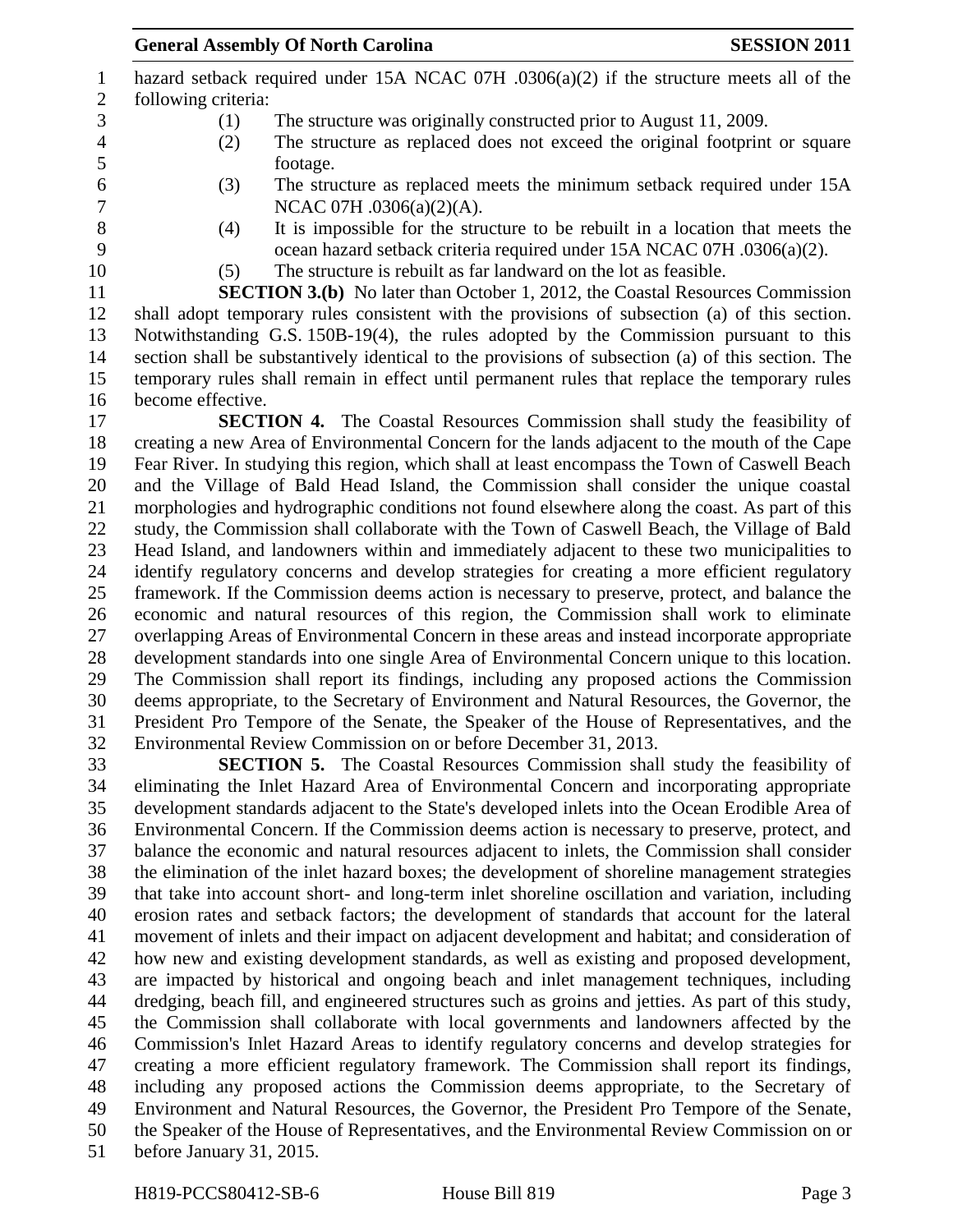|                |                     | mazaru sciback required under 1971 incree 0/11 $0.900(a)(2)$ if the structure meets an or the      |
|----------------|---------------------|----------------------------------------------------------------------------------------------------|
| $\mathbf{2}$   | following criteria: |                                                                                                    |
| $\overline{3}$ | (1)                 | The structure was originally constructed prior to August 11, 2009.                                 |
| $\overline{4}$ | (2)                 | The structure as replaced does not exceed the original footprint or square                         |
| 5              |                     | footage.                                                                                           |
| $\sqrt{6}$     | (3)                 | The structure as replaced meets the minimum setback required under 15A                             |
| $\overline{7}$ |                     | NCAC 07H .0306(a)(2)(A).                                                                           |
| 8              | (4)                 | It is impossible for the structure to be rebuilt in a location that meets the                      |
| 9              |                     | ocean hazard setback criteria required under 15A NCAC 07H .0306(a)(2).                             |
| 10             | (5)                 | The structure is rebuilt as far landward on the lot as feasible.                                   |
| 11             |                     | <b>SECTION 3.(b)</b> No later than October 1, 2012, the Coastal Resources Commission               |
| 12             |                     | shall adopt temporary rules consistent with the provisions of subsection (a) of this section.      |
| 13             |                     | Notwithstanding G.S. 150B-19(4), the rules adopted by the Commission pursuant to this              |
| 14             |                     | section shall be substantively identical to the provisions of subsection (a) of this section. The  |
| 15             |                     | temporary rules shall remain in effect until permanent rules that replace the temporary rules      |
| 16             | become effective.   |                                                                                                    |
| 17             |                     | <b>SECTION 4.</b> The Coastal Resources Commission shall study the feasibility of                  |
| 18             |                     | creating a new Area of Environmental Concern for the lands adjacent to the mouth of the Cape       |
| 19             |                     | Fear River. In studying this region, which shall at least encompass the Town of Caswell Beach      |
| 20             |                     | and the Village of Bald Head Island, the Commission shall consider the unique coastal              |
| 21             |                     | morphologies and hydrographic conditions not found elsewhere along the coast. As part of this      |
| 22             |                     | study, the Commission shall collaborate with the Town of Caswell Beach, the Village of Bald        |
| 23             |                     | Head Island, and landowners within and immediately adjacent to these two municipalities to         |
| 24             |                     | identify regulatory concerns and develop strategies for creating a more efficient regulatory       |
| 25             |                     | framework. If the Commission deems action is necessary to preserve, protect, and balance the       |
| 26             |                     | economic and natural resources of this region, the Commission shall work to eliminate              |
| 27             |                     | overlapping Areas of Environmental Concern in these areas and instead incorporate appropriate      |
| 28             |                     | development standards into one single Area of Environmental Concern unique to this location.       |
| 29             |                     | The Commission shall report its findings, including any proposed actions the Commission            |
| 30             |                     | deems appropriate, to the Secretary of Environment and Natural Resources, the Governor, the        |
| 31             |                     | President Pro Tempore of the Senate, the Speaker of the House of Representatives, and the          |
| 32             |                     | Environmental Review Commission on or before December 31, 2013.                                    |
| 33             |                     | <b>SECTION 5.</b> The Coastal Resources Commission shall study the feasibility of                  |
| 34             |                     | eliminating the Inlet Hazard Area of Environmental Concern and incorporating appropriate           |
| 35             |                     | development standards adjacent to the State's developed inlets into the Ocean Erodible Area of     |
| 36             |                     | Environmental Concern. If the Commission deems action is necessary to preserve, protect, and       |
| 37             |                     | balance the economic and natural resources adjacent to inlets, the Commission shall consider       |
| 38             |                     | the elimination of the inlet hazard boxes; the development of shoreline management strategies      |
| 39             |                     | that take into account short- and long-term inlet shoreline oscillation and variation, including   |
| 40             |                     | erosion rates and setback factors; the development of standards that account for the lateral       |
| 41             |                     | movement of inlets and their impact on adjacent development and habitat; and consideration of      |
| 42             |                     | how new and existing development standards, as well as existing and proposed development,          |
| 43             |                     | are impacted by historical and ongoing beach and inlet management techniques, including            |
| 44             |                     | dredging, beach fill, and engineered structures such as groins and jetties. As part of this study, |

 the Commission shall collaborate with local governments and landowners affected by the Commission's Inlet Hazard Areas to identify regulatory concerns and develop strategies for creating a more efficient regulatory framework. The Commission shall report its findings, including any proposed actions the Commission deems appropriate, to the Secretary of

 Environment and Natural Resources, the Governor, the President Pro Tempore of the Senate, the Speaker of the House of Representatives, and the Environmental Review Commission on or

before January 31, 2015.

**General Assembly Of North Carolina SESSION 2011** 1 hazard setback required under 15A NCAC 07H  $(0.306(a)/2)$  if the structure meets all of the